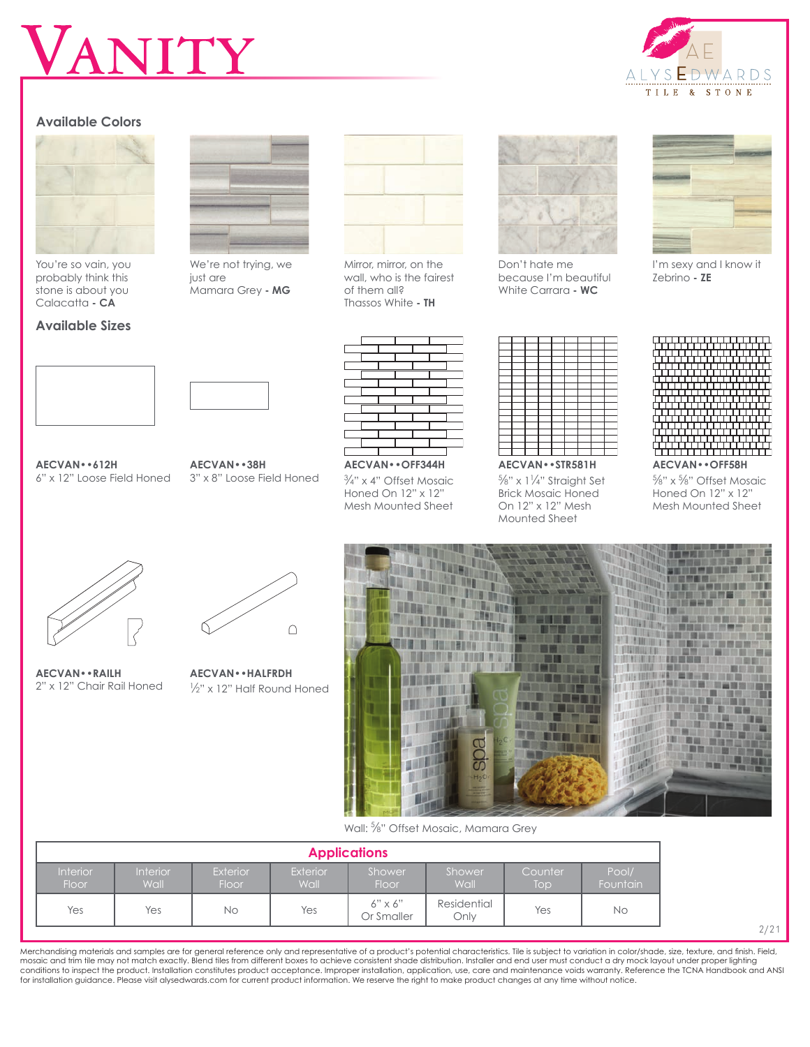# ANITY

## **Available Colors**



You're so vain, you probably think this stone is about you Calacatta **- CA**

#### **Available Sizes**



We're not trying, we just are Mamara Grey **- MG**



Mirror, mirror, on the wall, who is the fairest of them all? Thassos White **- TH**



Don't hate me because I'm beautiful White Carrara **- WC**



I'm sexy and I know it Zebrino **- ZE**





**AECVAN••612H** 6" x 12" Loose Field Honed

**AECVAN••38H** 3" x 8" Loose Field Honed



3 ⁄4" x 4" Offset Mosaic Honed On 12" x 12" Mesh Mounted Sheet

**AECVAN••STR581H** %" x 11/4" Straight Set Brick Mosaic Honed On 12" x 12" Mesh Mounted Sheet

**AECVAN••OFF58H**

5 ⁄8" x 5 ⁄8" Offset Mosaic Honed On 12" x 12" Mesh Mounted Sheet

**AECVAN••RAILH**



2" x 12" Chair Rail Honed **AECVAN••HALFRDH** 1 ⁄2" x 12" Half Round Honed



Wall: <sup>5</sup> ⁄8" Offset Mosaic, Mamara Grey

| <b>Applications</b>      |                                |                          |                         |                              |                     |                             |                   |  |  |  |
|--------------------------|--------------------------------|--------------------------|-------------------------|------------------------------|---------------------|-----------------------------|-------------------|--|--|--|
| <b>Interior</b><br>Floor | <b>Interior</b><br><b>Wall</b> | <b>Exterior</b><br>Floor | <b>Exterior</b><br>Wall | Shower<br>Floor              | Shower<br>Wall      | Counter<br>Top <sup>1</sup> | Pool/<br>Fountain |  |  |  |
| Yes                      | Yes                            | <b>No</b>                | Yes                     | $6" \times 6"$<br>Or Smaller | Residential<br>Onlv | Yes                         | No.               |  |  |  |

2/21

Merchandising materials and samples are for general reference only and representative of a product's potential characteristics. Tile is subject to variation in color/shade, size, texture, and finish. Field,<br>mosaic and trim conditions to inspect the product. Installation constitutes product acceptance. Improper installation, application, use, care and maintenance voids warranty. Reference the TCNA Handbook and ANSI for installation guidance. Please visit alysedwards.com for current product information. We reserve the right to make product changes at any time without notice.